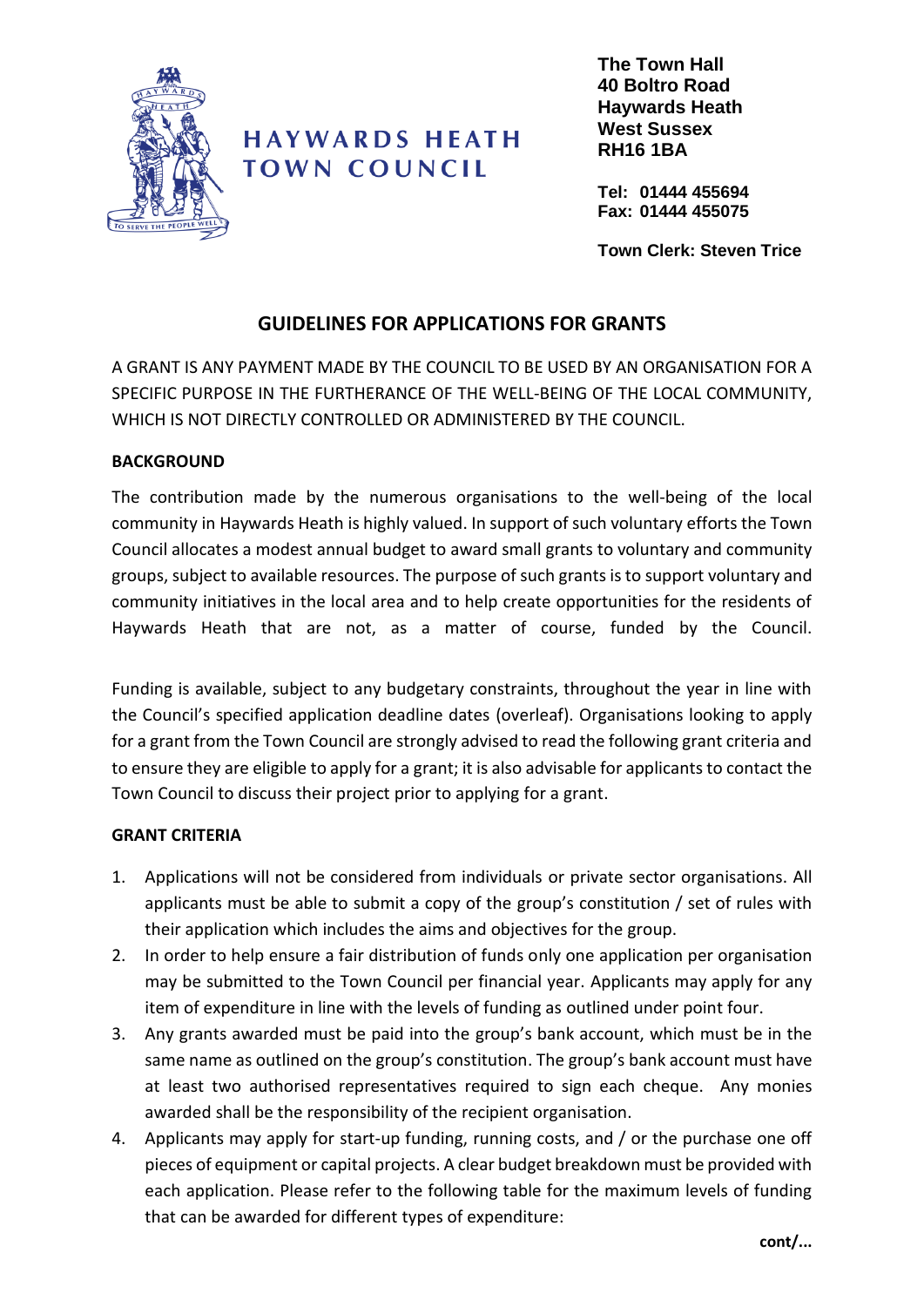

## **HAYWARDS HEATH TOWN COUNCIL**

**The Town Hall 40 Boltro Road Haywards Heath West Sussex RH16 1BA**

**Tel: 01444 455694 Fax: 01444 455075**

**Town Clerk: Steven Trice**

#### **GUIDELINES FOR APPLICATIONS FOR GRANTS**

A GRANT IS ANY PAYMENT MADE BY THE COUNCIL TO BE USED BY AN ORGANISATION FOR A SPECIFIC PURPOSE IN THE FURTHERANCE OF THE WELL-BEING OF THE LOCAL COMMUNITY, WHICH IS NOT DIRECTLY CONTROLLED OR ADMINISTERED BY THE COUNCIL.

#### **BACKGROUND**

The contribution made by the numerous organisations to the well-being of the local community in Haywards Heath is highly valued. In support of such voluntary efforts the Town Council allocates a modest annual budget to award small grants to voluntary and community groups, subject to available resources. The purpose of such grants is to support voluntary and community initiatives in the local area and to help create opportunities for the residents of Haywards Heath that are not, as a matter of course, funded by the Council.

Funding is available, subject to any budgetary constraints, throughout the year in line with the Council's specified application deadline dates (overleaf). Organisations looking to apply for a grant from the Town Council are strongly advised to read the following grant criteria and to ensure they are eligible to apply for a grant; it is also advisable for applicants to contact the Town Council to discuss their project prior to applying for a grant.

#### **GRANT CRITERIA**

- 1. Applications will not be considered from individuals or private sector organisations. All applicants must be able to submit a copy of the group's constitution / set of rules with their application which includes the aims and objectives for the group.
- 2. In order to help ensure a fair distribution of funds only one application per organisation may be submitted to the Town Council per financial year. Applicants may apply for any item of expenditure in line with the levels of funding as outlined under point four.
- 3. Any grants awarded must be paid into the group's bank account, which must be in the same name as outlined on the group's constitution. The group's bank account must have at least two authorised representatives required to sign each cheque. Any monies awarded shall be the responsibility of the recipient organisation.
- 4. Applicants may apply for start-up funding, running costs, and / or the purchase one off pieces of equipment or capital projects. A clear budget breakdown must be provided with each application. Please refer to the following table for the maximum levels of funding that can be awarded for different types of expenditure: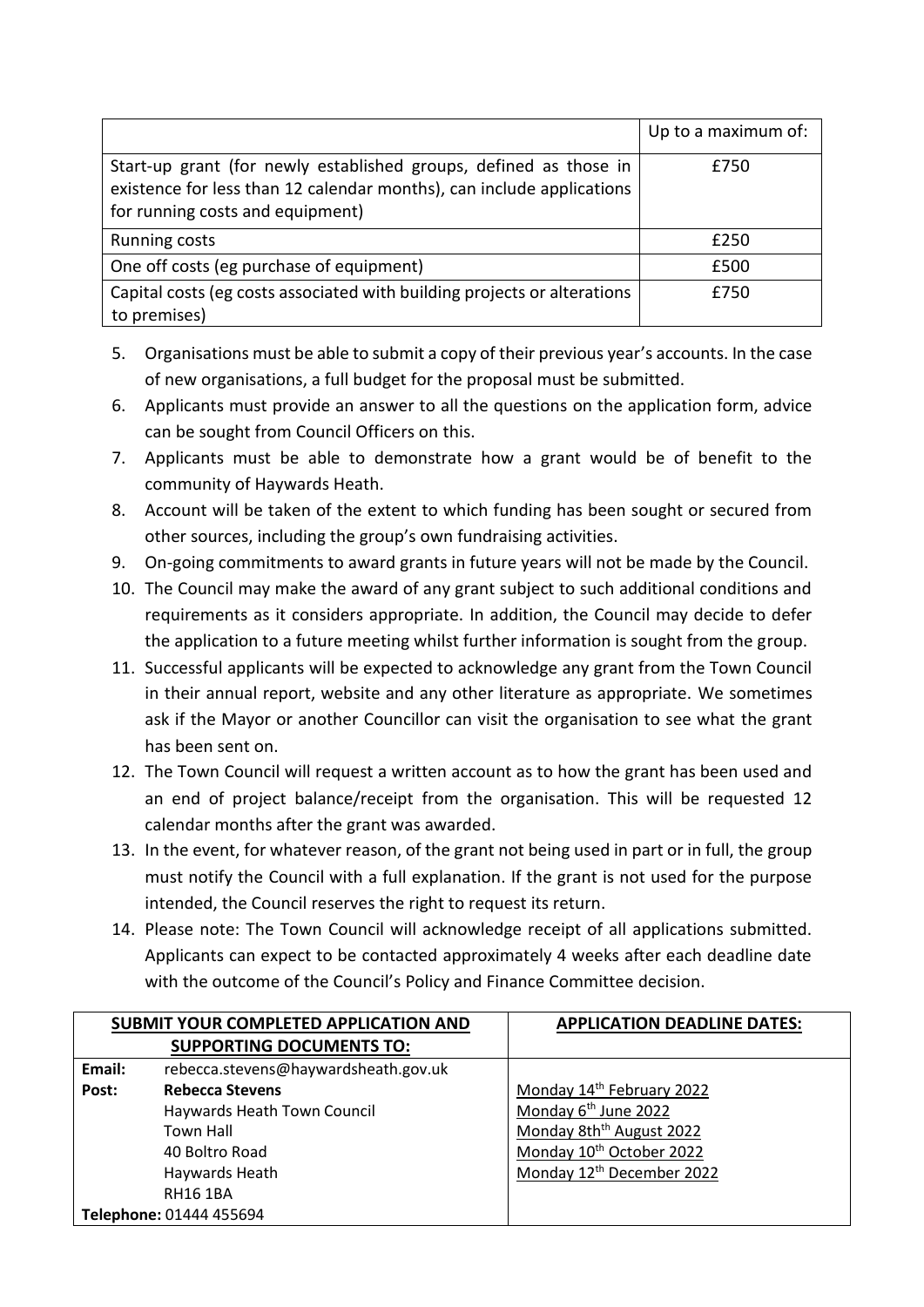|                                                                                                                                                                                | Up to a maximum of: |
|--------------------------------------------------------------------------------------------------------------------------------------------------------------------------------|---------------------|
| Start-up grant (for newly established groups, defined as those in<br>existence for less than 12 calendar months), can include applications<br>for running costs and equipment) | £750                |
| <b>Running costs</b>                                                                                                                                                           | £250                |
| One off costs (eg purchase of equipment)                                                                                                                                       | £500                |
| Capital costs (eg costs associated with building projects or alterations<br>to premises)                                                                                       | £750                |

- 5. Organisations must be able to submit a copy of their previous year's accounts. In the case of new organisations, a full budget for the proposal must be submitted.
- 6. Applicants must provide an answer to all the questions on the application form, advice can be sought from Council Officers on this.
- 7. Applicants must be able to demonstrate how a grant would be of benefit to the community of Haywards Heath.
- 8. Account will be taken of the extent to which funding has been sought or secured from other sources, including the group's own fundraising activities.
- 9. On-going commitments to award grants in future years will not be made by the Council.
- 10. The Council may make the award of any grant subject to such additional conditions and requirements as it considers appropriate. In addition, the Council may decide to defer the application to a future meeting whilst further information is sought from the group.
- 11. Successful applicants will be expected to acknowledge any grant from the Town Council in their annual report, website and any other literature as appropriate. We sometimes ask if the Mayor or another Councillor can visit the organisation to see what the grant has been sent on.
- 12. The Town Council will request a written account as to how the grant has been used and an end of project balance/receipt from the organisation. This will be requested 12 calendar months after the grant was awarded.
- 13. In the event, for whatever reason, of the grant not being used in part or in full, the group must notify the Council with a full explanation. If the grant is not used for the purpose intended, the Council reserves the right to request its return.
- 14. Please note: The Town Council will acknowledge receipt of all applications submitted. Applicants can expect to be contacted approximately 4 weeks after each deadline date with the outcome of the Council's Policy and Finance Committee decision.

|        | SUBMIT YOUR COMPLETED APPLICATION AND | <b>APPLICATION DEADLINE DATES:</b>    |
|--------|---------------------------------------|---------------------------------------|
|        | <b>SUPPORTING DOCUMENTS TO:</b>       |                                       |
| Email: | rebecca.stevens@haywardsheath.gov.uk  |                                       |
| Post:  | <b>Rebecca Stevens</b>                | Monday 14th February 2022             |
|        | Haywards Heath Town Council           | Monday 6 <sup>th</sup> June 2022      |
|        | <b>Town Hall</b>                      | Monday 8th <sup>th</sup> August 2022  |
|        | 40 Boltro Road                        | Monday 10 <sup>th</sup> October 2022  |
|        | Haywards Heath                        | Monday 12 <sup>th</sup> December 2022 |
|        | <b>RH16 1BA</b>                       |                                       |
|        | Telephone: 01444 455694               |                                       |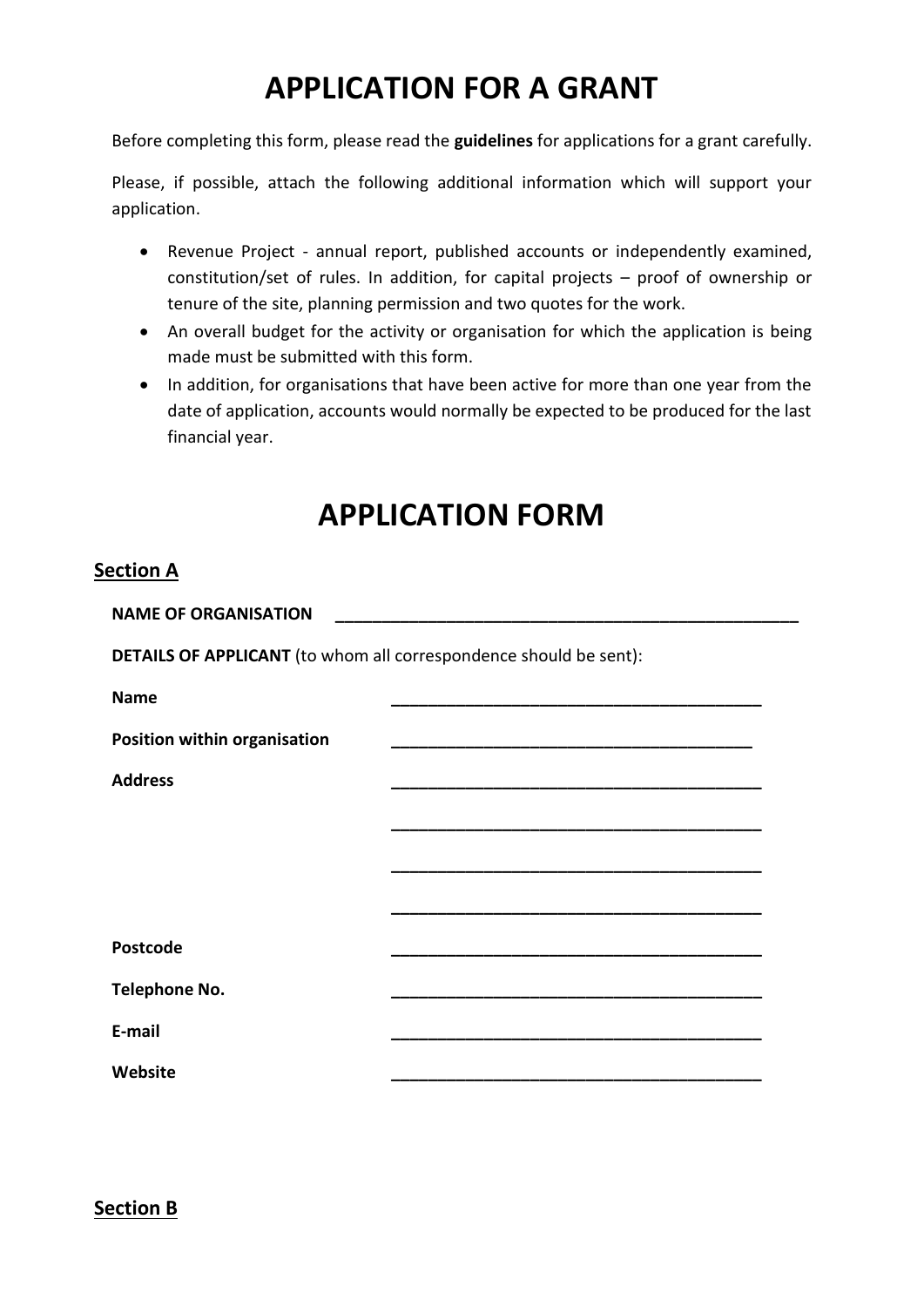# **APPLICATION FOR A GRANT**

Before completing this form, please read the **guidelines** for applications for a grant carefully.

Please, if possible, attach the following additional information which will support your application.

- Revenue Project annual report, published accounts or independently examined, constitution/set of rules. In addition, for capital projects – proof of ownership or tenure of the site, planning permission and two quotes for the work.
- An overall budget for the activity or organisation for which the application is being made must be submitted with this form.
- In addition, for organisations that have been active for more than one year from the date of application, accounts would normally be expected to be produced for the last financial year.

## **APPLICATION FORM**

#### **Section A**

| <b>NAME OF ORGANISATION</b>                                              |                                                                                                                |  |
|--------------------------------------------------------------------------|----------------------------------------------------------------------------------------------------------------|--|
| <b>DETAILS OF APPLICANT</b> (to whom all correspondence should be sent): |                                                                                                                |  |
| <b>Name</b>                                                              |                                                                                                                |  |
| Position within organisation                                             | an dan bertama kemajaan bertama kemajaan bertama kemajaan bertama kemajaan bertama kemajaan bertama kemajaan b |  |
| <b>Address</b>                                                           |                                                                                                                |  |
|                                                                          |                                                                                                                |  |
|                                                                          |                                                                                                                |  |
|                                                                          |                                                                                                                |  |
| <b>Postcode</b>                                                          |                                                                                                                |  |
| Telephone No.                                                            |                                                                                                                |  |
| E-mail                                                                   |                                                                                                                |  |
| Website                                                                  |                                                                                                                |  |

**Section B**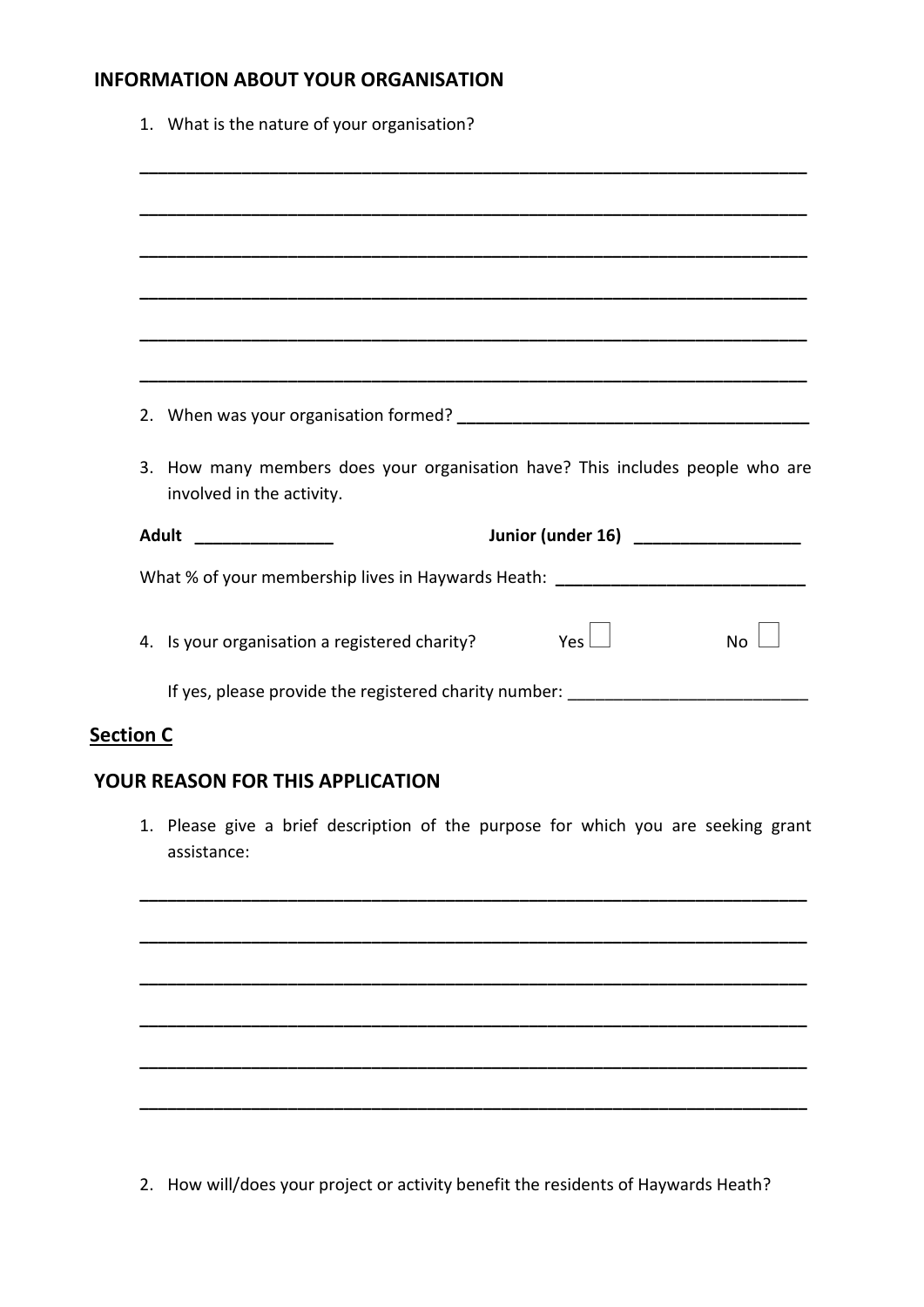#### **INFORMATION ABOUT YOUR ORGANISATION**

| 1. What is the nature of your organisation?                                                                |
|------------------------------------------------------------------------------------------------------------|
|                                                                                                            |
|                                                                                                            |
|                                                                                                            |
|                                                                                                            |
|                                                                                                            |
|                                                                                                            |
|                                                                                                            |
| 3. How many members does your organisation have? This includes people who are<br>involved in the activity. |
| Adult ________________<br>Junior (under 16) _________________                                              |
| What % of your membership lives in Haywards Heath: _____________________________                           |
| Yes $\vdash$<br>4. Is your organisation a registered charity?<br><b>No</b>                                 |
| If yes, please provide the registered charity number: __________________________                           |

#### **Section C**

#### **YOUR REASON FOR THIS APPLICATION**

1. Please give a brief description of the purpose for which you are seeking grant assistance:

**\_\_\_\_\_\_\_\_\_\_\_\_\_\_\_\_\_\_\_\_\_\_\_\_\_\_\_\_\_\_\_\_\_\_\_\_\_\_\_\_\_\_\_\_\_\_\_\_\_\_\_\_\_\_\_\_\_\_\_\_\_\_\_\_\_\_\_\_\_\_\_\_**

**\_\_\_\_\_\_\_\_\_\_\_\_\_\_\_\_\_\_\_\_\_\_\_\_\_\_\_\_\_\_\_\_\_\_\_\_\_\_\_\_\_\_\_\_\_\_\_\_\_\_\_\_\_\_\_\_\_\_\_\_\_\_\_\_\_\_\_\_\_\_\_\_**

**\_\_\_\_\_\_\_\_\_\_\_\_\_\_\_\_\_\_\_\_\_\_\_\_\_\_\_\_\_\_\_\_\_\_\_\_\_\_\_\_\_\_\_\_\_\_\_\_\_\_\_\_\_\_\_\_\_\_\_\_\_\_\_\_\_\_\_\_\_\_\_\_**

**\_\_\_\_\_\_\_\_\_\_\_\_\_\_\_\_\_\_\_\_\_\_\_\_\_\_\_\_\_\_\_\_\_\_\_\_\_\_\_\_\_\_\_\_\_\_\_\_\_\_\_\_\_\_\_\_\_\_\_\_\_\_\_\_\_\_\_\_\_\_\_\_**

**\_\_\_\_\_\_\_\_\_\_\_\_\_\_\_\_\_\_\_\_\_\_\_\_\_\_\_\_\_\_\_\_\_\_\_\_\_\_\_\_\_\_\_\_\_\_\_\_\_\_\_\_\_\_\_\_\_\_\_\_\_\_\_\_\_\_\_\_\_\_\_\_**

**\_\_\_\_\_\_\_\_\_\_\_\_\_\_\_\_\_\_\_\_\_\_\_\_\_\_\_\_\_\_\_\_\_\_\_\_\_\_\_\_\_\_\_\_\_\_\_\_\_\_\_\_\_\_\_\_\_\_\_\_\_\_\_\_\_\_\_\_\_\_\_\_**

2. How will/does your project or activity benefit the residents of Haywards Heath?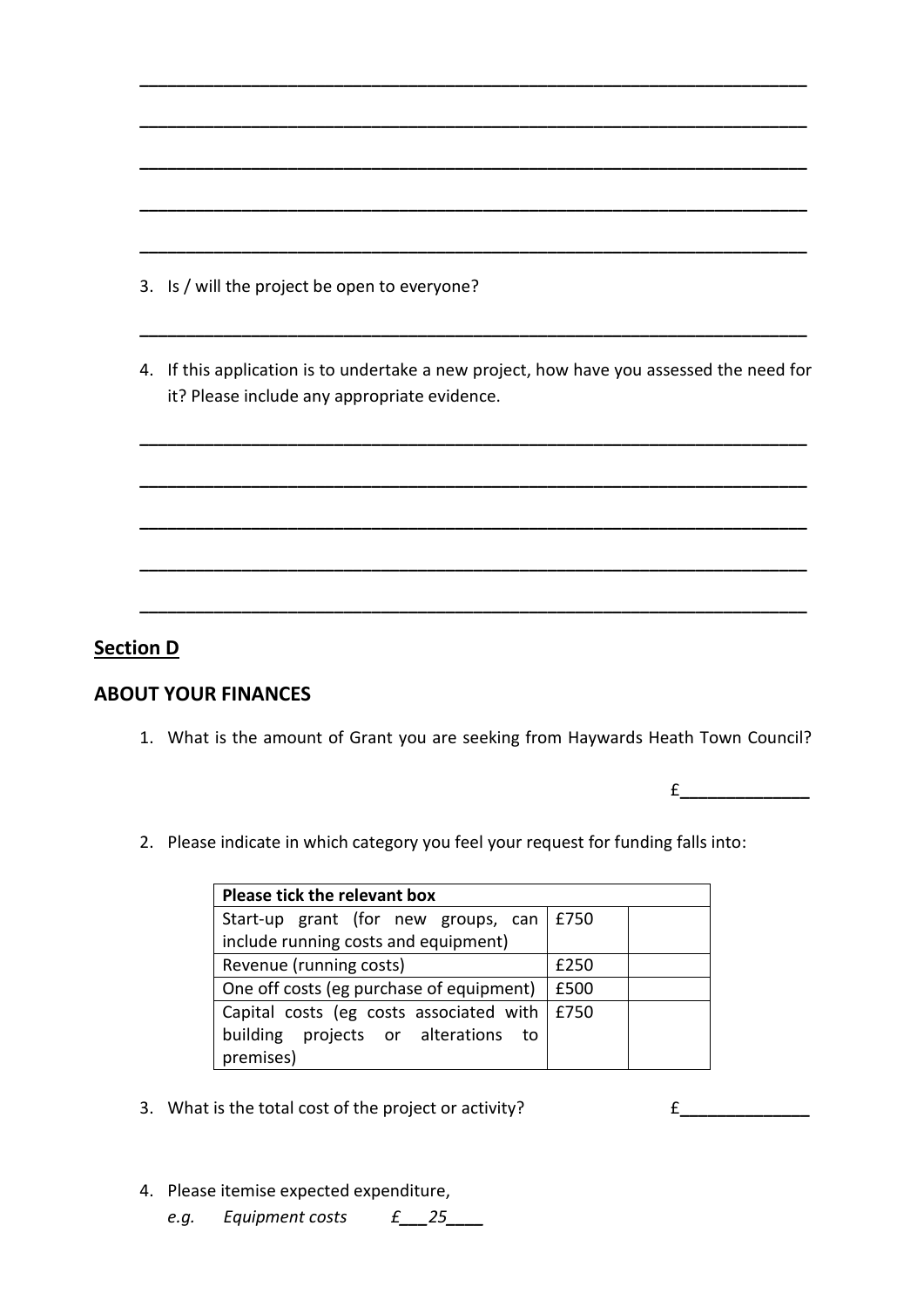|  |  |  |  | 3. Is / will the project be open to everyone? |  |  |
|--|--|--|--|-----------------------------------------------|--|--|
|--|--|--|--|-----------------------------------------------|--|--|

4. If this application is to undertake a new project, how have you assessed the need for it? Please include any appropriate evidence.

**\_\_\_\_\_\_\_\_\_\_\_\_\_\_\_\_\_\_\_\_\_\_\_\_\_\_\_\_\_\_\_\_\_\_\_\_\_\_\_\_\_\_\_\_\_\_\_\_\_\_\_\_\_\_\_\_\_\_\_\_\_\_\_\_\_\_\_\_\_\_\_\_**

**\_\_\_\_\_\_\_\_\_\_\_\_\_\_\_\_\_\_\_\_\_\_\_\_\_\_\_\_\_\_\_\_\_\_\_\_\_\_\_\_\_\_\_\_\_\_\_\_\_\_\_\_\_\_\_\_\_\_\_\_\_\_\_\_\_\_\_\_\_\_\_\_**

**\_\_\_\_\_\_\_\_\_\_\_\_\_\_\_\_\_\_\_\_\_\_\_\_\_\_\_\_\_\_\_\_\_\_\_\_\_\_\_\_\_\_\_\_\_\_\_\_\_\_\_\_\_\_\_\_\_\_\_\_\_\_\_\_\_\_\_\_\_\_\_\_**

**\_\_\_\_\_\_\_\_\_\_\_\_\_\_\_\_\_\_\_\_\_\_\_\_\_\_\_\_\_\_\_\_\_\_\_\_\_\_\_\_\_\_\_\_\_\_\_\_\_\_\_\_\_\_\_\_\_\_\_\_\_\_\_\_\_\_\_\_\_\_\_\_**

**\_\_\_\_\_\_\_\_\_\_\_\_\_\_\_\_\_\_\_\_\_\_\_\_\_\_\_\_\_\_\_\_\_\_\_\_\_\_\_\_\_\_\_\_\_\_\_\_\_\_\_\_\_\_\_\_\_\_\_\_\_\_\_\_\_\_\_\_\_\_\_\_**

**\_\_\_\_\_\_\_\_\_\_\_\_\_\_\_\_\_\_\_\_\_\_\_\_\_\_\_\_\_\_\_\_\_\_\_\_\_\_\_\_\_\_\_\_\_\_\_\_\_\_\_\_\_\_\_\_\_\_\_\_\_\_\_\_\_\_\_\_\_\_\_\_**

**\_\_\_\_\_\_\_\_\_\_\_\_\_\_\_\_\_\_\_\_\_\_\_\_\_\_\_\_\_\_\_\_\_\_\_\_\_\_\_\_\_\_\_\_\_\_\_\_\_\_\_\_\_\_\_\_\_\_\_\_\_\_\_\_\_\_\_\_\_\_\_\_**

**\_\_\_\_\_\_\_\_\_\_\_\_\_\_\_\_\_\_\_\_\_\_\_\_\_\_\_\_\_\_\_\_\_\_\_\_\_\_\_\_\_\_\_\_\_\_\_\_\_\_\_\_\_\_\_\_\_\_\_\_\_\_\_\_\_\_\_\_\_\_\_\_**

**\_\_\_\_\_\_\_\_\_\_\_\_\_\_\_\_\_\_\_\_\_\_\_\_\_\_\_\_\_\_\_\_\_\_\_\_\_\_\_\_\_\_\_\_\_\_\_\_\_\_\_\_\_\_\_\_\_\_\_\_\_\_\_\_\_\_\_\_\_\_\_\_**

**\_\_\_\_\_\_\_\_\_\_\_\_\_\_\_\_\_\_\_\_\_\_\_\_\_\_\_\_\_\_\_\_\_\_\_\_\_\_\_\_\_\_\_\_\_\_\_\_\_\_\_\_\_\_\_\_\_\_\_\_\_\_\_\_\_\_\_\_\_\_\_\_**

**\_\_\_\_\_\_\_\_\_\_\_\_\_\_\_\_\_\_\_\_\_\_\_\_\_\_\_\_\_\_\_\_\_\_\_\_\_\_\_\_\_\_\_\_\_\_\_\_\_\_\_\_\_\_\_\_\_\_\_\_\_\_\_\_\_\_\_\_\_\_\_\_**

#### **Section D**

#### **ABOUT YOUR FINANCES**

1. What is the amount of Grant you are seeking from Haywards Heath Town Council?

£**\_\_\_\_\_\_\_\_\_\_\_\_\_\_**

2. Please indicate in which category you feel your request for funding falls into:

| Please tick the relevant box                   |      |  |
|------------------------------------------------|------|--|
| Start-up grant (for new groups, can   £750     |      |  |
| include running costs and equipment)           |      |  |
| Revenue (running costs)                        | £250 |  |
| One off costs (eg purchase of equipment)       | £500 |  |
| Capital costs (eg costs associated with   £750 |      |  |
| building projects or alterations to            |      |  |
| premises)                                      |      |  |

3. What is the total cost of the project or activity? £**\_\_\_\_\_\_\_\_\_\_\_\_\_\_**

- 4. Please itemise expected expenditure,
	- *e.g. Equipment costs £\_\_\_25\_\_\_\_*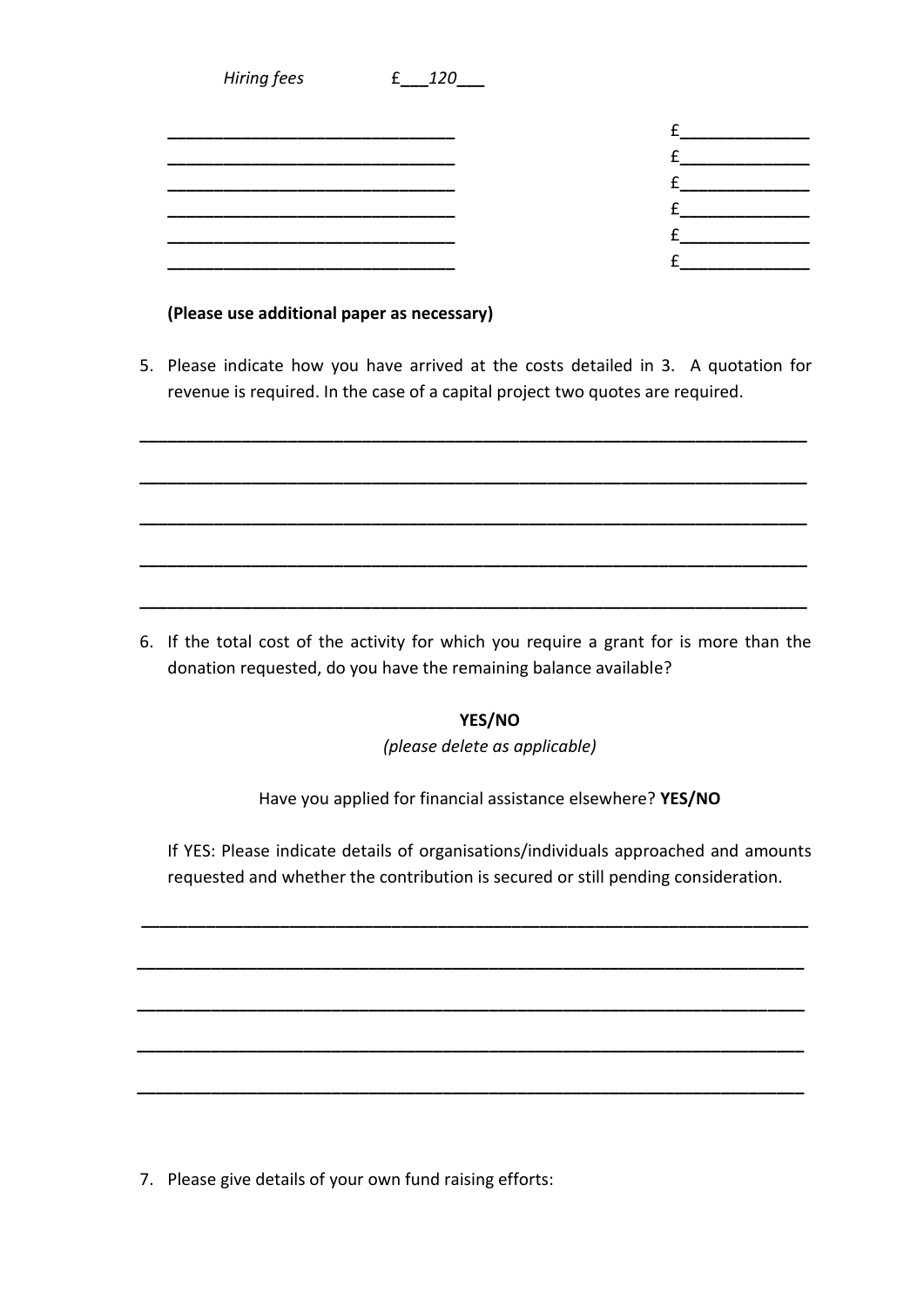| <b>Hiring fees</b> | 120 |  |
|--------------------|-----|--|
|                    |     |  |
|                    |     |  |
|                    |     |  |
|                    |     |  |
|                    |     |  |
|                    |     |  |
|                    |     |  |

#### **(Please use additional paper as necessary)**

5. Please indicate how you have arrived at the costs detailed in 3. A quotation for revenue is required. In the case of a capital project two quotes are required.

**\_\_\_\_\_\_\_\_\_\_\_\_\_\_\_\_\_\_\_\_\_\_\_\_\_\_\_\_\_\_\_\_\_\_\_\_\_\_\_\_\_\_\_\_\_\_\_\_\_\_\_\_\_\_\_\_\_\_\_\_\_\_\_\_\_\_\_\_\_\_\_\_**

**\_\_\_\_\_\_\_\_\_\_\_\_\_\_\_\_\_\_\_\_\_\_\_\_\_\_\_\_\_\_\_\_\_\_\_\_\_\_\_\_\_\_\_\_\_\_\_\_\_\_\_\_\_\_\_\_\_\_\_\_\_\_\_\_\_\_\_\_\_\_\_\_**

**\_\_\_\_\_\_\_\_\_\_\_\_\_\_\_\_\_\_\_\_\_\_\_\_\_\_\_\_\_\_\_\_\_\_\_\_\_\_\_\_\_\_\_\_\_\_\_\_\_\_\_\_\_\_\_\_\_\_\_\_\_\_\_\_\_\_\_\_\_\_\_\_**

**\_\_\_\_\_\_\_\_\_\_\_\_\_\_\_\_\_\_\_\_\_\_\_\_\_\_\_\_\_\_\_\_\_\_\_\_\_\_\_\_\_\_\_\_\_\_\_\_\_\_\_\_\_\_\_\_\_\_\_\_\_\_\_\_\_\_\_\_\_\_\_\_**

**\_\_\_\_\_\_\_\_\_\_\_\_\_\_\_\_\_\_\_\_\_\_\_\_\_\_\_\_\_\_\_\_\_\_\_\_\_\_\_\_\_\_\_\_\_\_\_\_\_\_\_\_\_\_\_\_\_\_\_\_\_\_\_\_\_\_\_\_\_\_\_\_**

6. If the total cost of the activity for which you require a grant for is more than the donation requested, do you have the remaining balance available?

**YES/NO**

*(please delete as applicable)*

Have you applied for financial assistance elsewhere? **YES/NO**

If YES: Please indicate details of organisations/individuals approached and amounts requested and whether the contribution is secured or still pending consideration.

**\_\_\_\_\_\_\_\_\_\_\_\_\_\_\_\_\_\_\_\_\_\_\_\_\_\_\_\_\_\_\_\_\_\_\_\_\_\_\_\_\_\_\_\_\_\_\_\_\_\_\_\_\_\_\_\_\_\_\_\_\_\_\_\_\_\_\_\_\_\_\_\_**

**\_\_\_\_\_\_\_\_\_\_\_\_\_\_\_\_\_\_\_\_\_\_\_\_\_\_\_\_\_\_\_\_\_\_\_\_\_\_\_\_\_\_\_\_\_\_\_\_\_\_\_\_\_\_\_\_\_\_\_\_\_\_\_\_\_\_\_\_\_\_\_\_**

**\_\_\_\_\_\_\_\_\_\_\_\_\_\_\_\_\_\_\_\_\_\_\_\_\_\_\_\_\_\_\_\_\_\_\_\_\_\_\_\_\_\_\_\_\_\_\_\_\_\_\_\_\_\_\_\_\_\_\_\_\_\_\_\_\_\_\_\_\_\_\_\_**

**\_\_\_\_\_\_\_\_\_\_\_\_\_\_\_\_\_\_\_\_\_\_\_\_\_\_\_\_\_\_\_\_\_\_\_\_\_\_\_\_\_\_\_\_\_\_\_\_\_\_\_\_\_\_\_\_\_\_\_\_\_\_\_\_\_\_\_\_\_\_\_\_**

**\_\_\_\_\_\_\_\_\_\_\_\_\_\_\_\_\_\_\_\_\_\_\_\_\_\_\_\_\_\_\_\_\_\_\_\_\_\_\_\_\_\_\_\_\_\_\_\_\_\_\_\_\_\_\_\_\_\_\_\_\_\_\_\_\_\_\_\_\_\_\_\_**

7. Please give details of your own fund raising efforts: